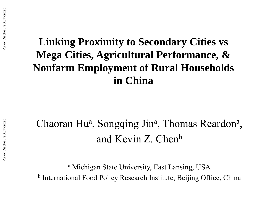## **Linking Proximity to Secondary Cities vs Mega Cities, Agricultural Performance, & Nonfarm Employment of Rural Households in China**

# Chaoran Hu<sup>a</sup>, Songqing Jin<sup>a</sup>, Thomas Reardon<sup>a</sup>, and Kevin Z. Chen<sup>b</sup>

<sup>a</sup> Michigan State University, East Lansing, USA <sup>b</sup> International Food Policy Research Institute, Beijing Office, China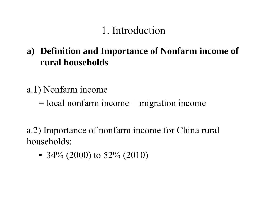## 1. Introduction

- **a) Definition and Importance of Nonfarm income of rural households**
- a.1) Nonfarm income
	- $=$  local nonfarm income  $+$  migration income
- a.2) Importance of nonfarm income for China rural households:
	- 34% (2000) to 52% (2010)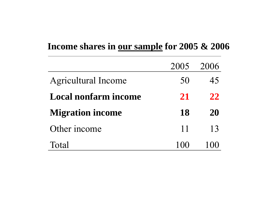#### **Income shares in our sample for 2005 & 2006**

|                             | 2005  | 2006 |
|-----------------------------|-------|------|
| <b>Agricultural Income</b>  | 50    | 45   |
| <b>Local nonfarm income</b> | 21    | 22   |
| <b>Migration income</b>     | 18    | 20   |
| Other income                | 11    | 13   |
| Total                       | 1(0() |      |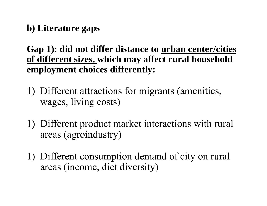**b) Literature gaps**

**Gap 1): did not differ distance to urban center/cities of different sizes, which may affect rural household employment choices differently:**

- 1) Different attractions for migrants (amenities, wages, living costs)
- 1) Different product market interactions with rural areas (agroindustry)
- 1) Different consumption demand of city on rural areas (income, diet diversity)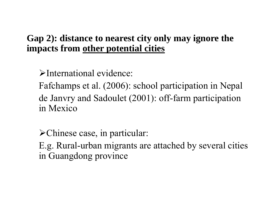#### **Gap 2): distance to nearest city only may ignore the impacts from other potential cities**

International evidence:

Fafchamps et al. (2006): school participation in Nepal de Janvry and Sadoulet (2001): off-farm participation in Mexico

Chinese case, in particular:

E.g. Rural-urban migrants are attached by several cities in Guangdong province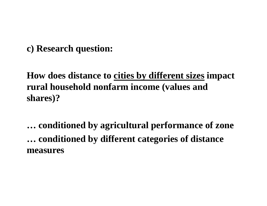#### **c) Research question:**

### **How does distance to cities by different sizes impact rural household nonfarm income (values and shares)?**

**… conditioned by agricultural performance of zone … conditioned by different categories of distance measures**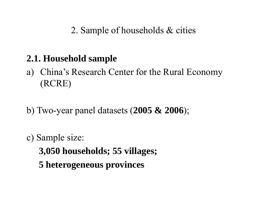2. Sample of households & cities

#### **2.1. Household sample**

- a) China's Research Center for the Rural Economy (RCRE)
- b) Two-year panel datasets (**2005 & 2006**);
- c) Sample size:
	- **3,050 households; 55 villages;**
	- **5 heterogeneous provinces**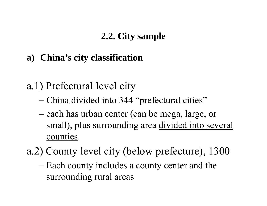#### **2.2. City sample**

- **a) China's city classification**
- a.1) Prefectural level city
	- China divided into 344 "prefectural cities"
	- –— each has urban center (can be mega, large, or small), plus surrounding area divided into several counties.
- a.2) County level city (below prefecture), 1300
	- –– Each county includes a county center and the surrounding rural areas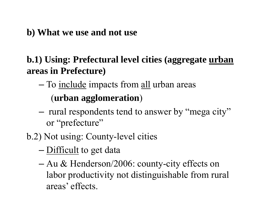#### **b) What we use and not use**

#### **b.1) Using: Prefectural level cities (aggregate urban areas in Prefecture)**

–— To <u>include</u> impacts from <u>all</u> urban areas

### (**urban agglomeration** )

- rural respondents tend to answer by "mega city" or "prefecture"
- b.2) Not using: County-level cities
	- –— <u>Difficult</u> to get data
	- Au & Henderson/2006: county-city effects on labor productivity not distinguishable from rural areas' effects.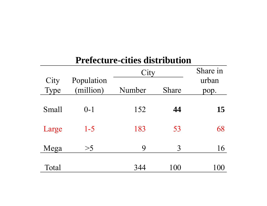#### **Prefecture-cities distribution**

|              |                         | City   | Share in     |               |
|--------------|-------------------------|--------|--------------|---------------|
| City<br>Type | Population<br>(million) | Number | <b>Share</b> | urban<br>pop. |
| <b>Small</b> | $0 - 1$                 | 152    | 44           | 15            |
| Large        | $1-5$                   | 183    | 53           | 68            |
| Mega         | >5                      | 9      | 3            | 16            |
| Total        |                         | 344    | 100          | 100           |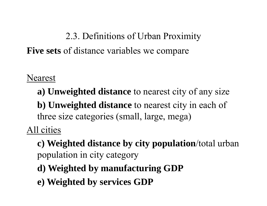# 2.3. Definitions of Urban Proximity **Five sets** of distance variables we compare

Nearest

**a) Unweighted distance** to nearest city of any size **b) Unweighted distance** to nearest city in each of three size categories (small, large, mega)

All cities

**c) Weighted distance by city population**/total urban population in city category

- **d) Weighted by manufacturing GDP**
- **e) Weighted by services GDP**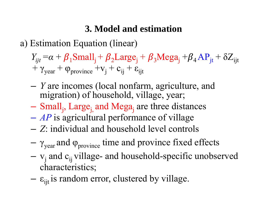### **3. Model and estimation**

a) Estimation Equation (linear)

*Yijt =* $a = \alpha + \beta_1$ Small<sub>j</sub> +  $\beta_2$ Large<sub>j</sub> +  $\beta_3$ Mega<sub>j</sub> +  $\beta_4$  AP<sub>jt</sub> +  $\delta$  $Z_{\rm ijt}$  $+$  $\gamma_{\text{year}} + \varphi_{\text{province}} + \mathbf{v}_{\text{j}} + \mathbf{c}_{\text{ij}} + \mathbf{\varepsilon}_{\text{ijt}}$ 

- – *Y* are incomes (local nonfarm, agriculture, and migration) of household, village, year;
- –- Small<sub>j</sub>, Large<sub>j,</sub> and Mega<sub>j</sub> are three distances
- $\mathcal{L}_{\mathcal{A}}$  , and the set of the set of the set of the set of the set of the set of the set of the set of the set of the set of the set of the set of the set of the set of the set of the set of the set of the set of th *AP* is agricultural performance of village
- –*Z*: individual and household level controls
- – $\gamma_\mathrm{year}$  and φ $_\mathrm{province}$  time and province fixed effects
- $\rm v_j$  and  $\rm c_{ij}$  village- and household-specific unobserved characteristics;
- – $\epsilon_{\rm ijt}$  is random error, clustered by village.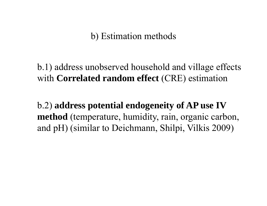b) Estimation methods

b.1) address unobserved household and village effects with **Correlated random effect** (CRE) estimation

b.2) **address potential endogeneity of AP use IV method** (temperature, humidity, rain, organic carbon, and pH) (similar to Deichmann, Shilpi, Vilkis 2009)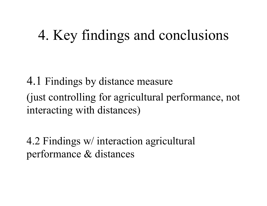# 4. Key findings and conclusions

4.1 Findings by distance measure (just controlling for agricultural performance, not interacting with distances)

4.2 Findings w/ interaction agricultural performance & distances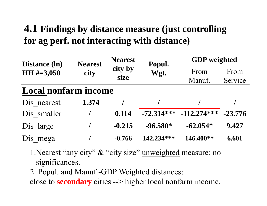## **4.1 Findings by distance measure (just controlling for ag perf. not interacting with distance)**

| <b>Distance</b> (ln)        | <b>Nearest</b> | <b>Nearest</b> | Popul.       | <b>GDP</b> weighted |           |  |
|-----------------------------|----------------|----------------|--------------|---------------------|-----------|--|
| HH $\#=3,050$               | city           | city by        | Wgt.         | From                | From      |  |
|                             | size           |                | Manuf.       | Service             |           |  |
| <b>Local nonfarm income</b> |                |                |              |                     |           |  |
| Dis nearest                 | $-1.374$       |                |              |                     |           |  |
| Dis smaller                 |                | 0.114          | $-72.314***$ | $-112.274***$       | $-23.776$ |  |
| Dis large                   |                | $-0.215$       | $-96.580*$   | $-62.054*$          | 9.427     |  |
| Dis<br>mega                 |                | $-0.766$       | 142.234***   | 146.400**           | 6.601     |  |

1.Nearest "any city" & "city size" unweighted measure: no significances.

2. Popul. and Manuf.-GDP Weighted distances:

close to **secondary** cities --> higher local nonfarm income.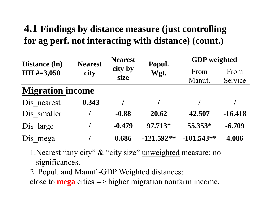## **4.1 Findings by distance measure (just controlling for ag perf. not interacting with distance) (count.)**

| <b>Distance</b> (ln)    | <b>Nearest</b>                  | <b>Nearest</b> | Popul.         | <b>GDP</b> weighted |           |  |
|-------------------------|---------------------------------|----------------|----------------|---------------------|-----------|--|
| HH $\#=3,050$           | city by<br>Wgt.<br>city<br>size |                | From<br>Manuf. | From<br>Service     |           |  |
| <b>Migration income</b> |                                 |                |                |                     |           |  |
| Dis nearest             | $-0.343$                        |                |                |                     |           |  |
| Dis smaller             |                                 | $-0.88$        | 20.62          | 42.507              | $-16.418$ |  |
| Dis large               |                                 | $-0.479$       | 97.713*        | 55.353*             | $-6.709$  |  |
| Dis<br>mega             |                                 | 0.686          | $-121.592**$   | $-101.543**$        | 4.086     |  |

1.Nearest "any city" & "city size" unweighted measure: no significances.

2. Popul. and Manuf.-GDP Weighted distances:

close to **mega** cities --> higher migration nonfarm income**.**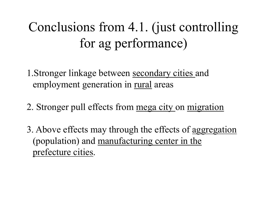# Conclusions from 4.1. (just controlling for ag performance)

1.Stronger linkage between secondary cities and employment generation in rural areas

- 2. Stronger pull effects from mega city on migration
- 3. Above effects may through the effects of aggregation (population) and manufacturing center in the prefecture cities.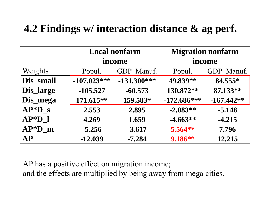## **4.2 Findings w/ interaction distance & ag perf.**

|           | <b>Local nonfarm</b> |               | <b>Migration nonfarm</b> |              |  |
|-----------|----------------------|---------------|--------------------------|--------------|--|
|           | income               |               | income                   |              |  |
| Weights   | Popul.               | GDP Manuf.    | Popul.                   | GDP Manuf.   |  |
| Dis_small | $-107.023***$        | $-131.300***$ | 49.839**                 | 84.555*      |  |
| Dis_large | $-105.527$           | $-60.573$     | 130.872**                | 87.133**     |  |
| Dis_mega  | 171.615**            | 159.583*      | $-172.686***$            | $-167.442**$ |  |
| $AP*D$ s  | 2.553                | 2.895         | $-2.083**$               | $-5.148$     |  |
| $AP*D$ 1  | 4.269                | 1.659         | $-4.663**$               | $-4.215$     |  |
| $AP*D_m$  | $-5.256$             | $-3.617$      | $5.564**$                | 7.796        |  |
| AP        | $-12.039$            | $-7.284$      | 9.186**                  | 12.215       |  |

AP has a positive effect on migration income; and the effects are multiplied by being away from mega cities.